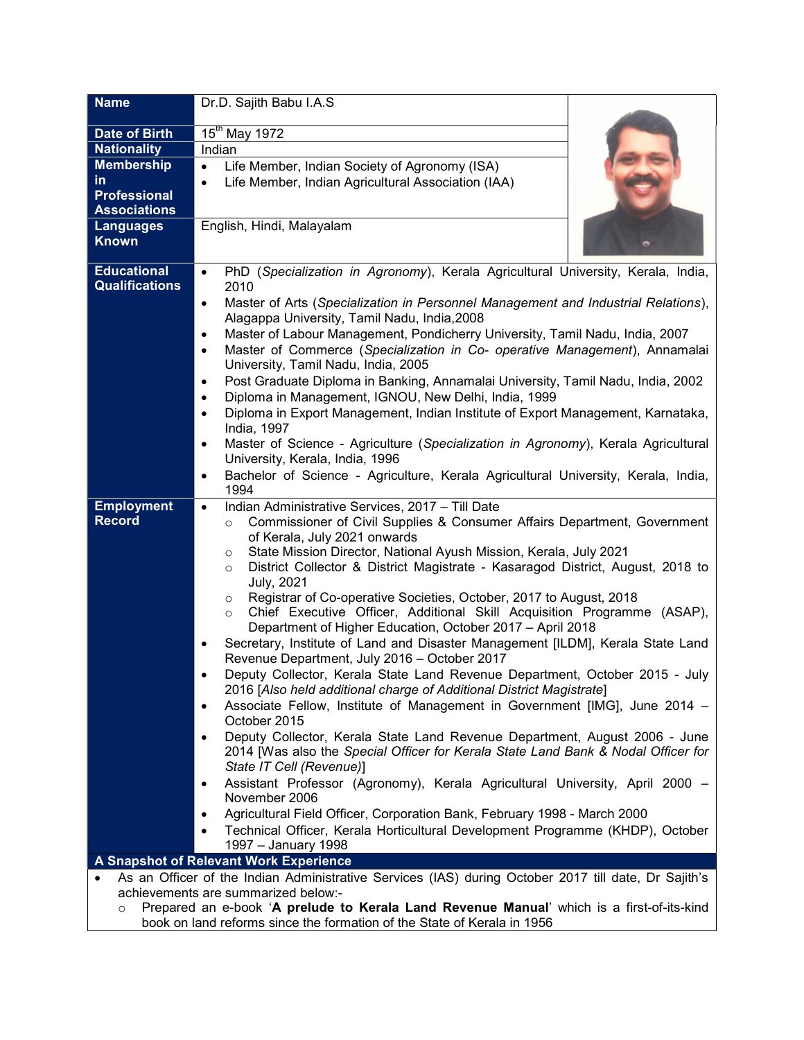| <b>Name</b>                                                                                                                                 | Dr.D. Sajith Babu I.A.S                                                                                                                                        |
|---------------------------------------------------------------------------------------------------------------------------------------------|----------------------------------------------------------------------------------------------------------------------------------------------------------------|
| Date of Birth                                                                                                                               | $15^{\text{th}}$ May 1972                                                                                                                                      |
| <b>Nationality</b>                                                                                                                          | Indian                                                                                                                                                         |
| <b>Membership</b>                                                                                                                           | Life Member, Indian Society of Agronomy (ISA)<br>$\bullet$                                                                                                     |
| <u>in</u>                                                                                                                                   | Life Member, Indian Agricultural Association (IAA)<br>$\bullet$                                                                                                |
| <b>Professional</b>                                                                                                                         |                                                                                                                                                                |
| <b>Associations</b>                                                                                                                         |                                                                                                                                                                |
| <b>Languages</b>                                                                                                                            | English, Hindi, Malayalam                                                                                                                                      |
| <b>Known</b>                                                                                                                                |                                                                                                                                                                |
| <b>Educational</b>                                                                                                                          | PhD (Specialization in Agronomy), Kerala Agricultural University, Kerala, India,<br>$\bullet$                                                                  |
| <b>Qualifications</b>                                                                                                                       | 2010                                                                                                                                                           |
|                                                                                                                                             | Master of Arts (Specialization in Personnel Management and Industrial Relations),<br>$\bullet$                                                                 |
|                                                                                                                                             | Alagappa University, Tamil Nadu, India, 2008                                                                                                                   |
|                                                                                                                                             | Master of Labour Management, Pondicherry University, Tamil Nadu, India, 2007<br>$\bullet$                                                                      |
|                                                                                                                                             | Master of Commerce (Specialization in Co- operative Management), Annamalai<br>$\bullet$                                                                        |
|                                                                                                                                             | University, Tamil Nadu, India, 2005                                                                                                                            |
|                                                                                                                                             | Post Graduate Diploma in Banking, Annamalai University, Tamil Nadu, India, 2002<br>$\bullet$<br>Diploma in Management, IGNOU, New Delhi, India, 1999           |
|                                                                                                                                             | $\bullet$<br>Diploma in Export Management, Indian Institute of Export Management, Karnataka,<br>$\bullet$                                                      |
|                                                                                                                                             | India, 1997                                                                                                                                                    |
|                                                                                                                                             | Master of Science - Agriculture (Specialization in Agronomy), Kerala Agricultural<br>$\bullet$                                                                 |
|                                                                                                                                             | University, Kerala, India, 1996                                                                                                                                |
|                                                                                                                                             | Bachelor of Science - Agriculture, Kerala Agricultural University, Kerala, India,<br>$\bullet$                                                                 |
|                                                                                                                                             | 1994                                                                                                                                                           |
| <b>Employment</b>                                                                                                                           | Indian Administrative Services, 2017 - Till Date<br>$\bullet$                                                                                                  |
| <b>Record</b>                                                                                                                               | Commissioner of Civil Supplies & Consumer Affairs Department, Government<br>$\circ$                                                                            |
|                                                                                                                                             | of Kerala, July 2021 onwards                                                                                                                                   |
|                                                                                                                                             | State Mission Director, National Ayush Mission, Kerala, July 2021<br>$\circ$<br>District Collector & District Magistrate - Kasaragod District, August, 2018 to |
|                                                                                                                                             | $\circ$<br><b>July, 2021</b>                                                                                                                                   |
|                                                                                                                                             | Registrar of Co-operative Societies, October, 2017 to August, 2018<br>O                                                                                        |
|                                                                                                                                             | Chief Executive Officer, Additional Skill Acquisition Programme (ASAP),<br>$\circ$                                                                             |
|                                                                                                                                             | Department of Higher Education, October 2017 - April 2018                                                                                                      |
|                                                                                                                                             | Secretary, Institute of Land and Disaster Management [ILDM], Kerala State Land                                                                                 |
|                                                                                                                                             | Revenue Department, July 2016 - October 2017                                                                                                                   |
|                                                                                                                                             | Deputy Collector, Kerala State Land Revenue Department, October 2015 - July                                                                                    |
|                                                                                                                                             | 2016 [Also held additional charge of Additional District Magistrate]                                                                                           |
|                                                                                                                                             | Associate Fellow, Institute of Management in Government [IMG], June 2014 -<br>October 2015                                                                     |
|                                                                                                                                             | Deputy Collector, Kerala State Land Revenue Department, August 2006 - June                                                                                     |
|                                                                                                                                             | 2014 [Was also the Special Officer for Kerala State Land Bank & Nodal Officer for                                                                              |
|                                                                                                                                             | State IT Cell (Revenue)]                                                                                                                                       |
|                                                                                                                                             | Assistant Professor (Agronomy), Kerala Agricultural University, April 2000 -                                                                                   |
|                                                                                                                                             | November 2006                                                                                                                                                  |
|                                                                                                                                             | Agricultural Field Officer, Corporation Bank, February 1998 - March 2000                                                                                       |
|                                                                                                                                             | Technical Officer, Kerala Horticultural Development Programme (KHDP), October                                                                                  |
|                                                                                                                                             | 1997 - January 1998                                                                                                                                            |
| A Snapshot of Relevant Work Experience                                                                                                      |                                                                                                                                                                |
| As an Officer of the Indian Administrative Services (IAS) during October 2017 till date, Dr Sajith's<br>achievements are summarized below:- |                                                                                                                                                                |
| Prepared an e-book 'A prelude to Kerala Land Revenue Manual' which is a first-of-its-kind<br>$\circ$                                        |                                                                                                                                                                |
|                                                                                                                                             | book on land reforms since the formation of the State of Kerala in 1956                                                                                        |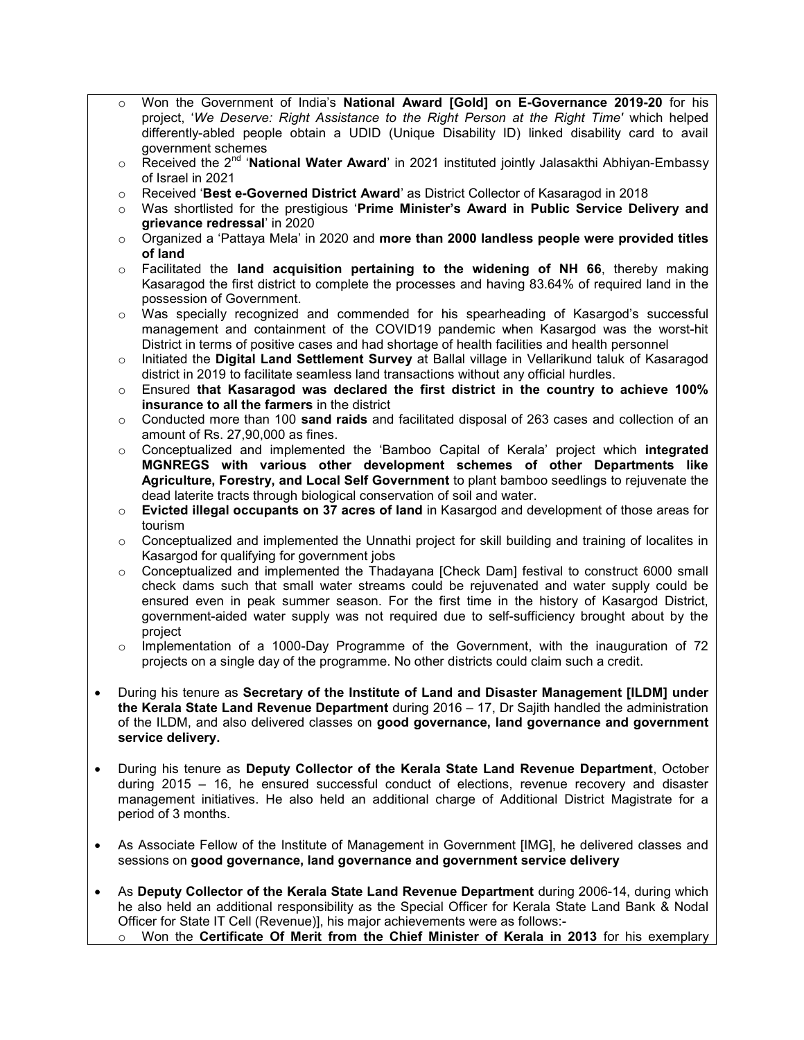- Won the Government of India's National Award [Gold] on E-Governance 2019-20 for his project, 'We Deserve: Right Assistance to the Right Person at the Right Time' which helped differently-abled people obtain a UDID (Unique Disability ID) linked disability card to avail government schemes
- $\circ$  Received the 2<sup>nd</sup> 'National Water Award' in 2021 instituted jointly Jalasakthi Abhiyan-Embassy of Israel in 2021
- $\circ$  Received 'Best e-Governed District Award' as District Collector of Kasaragod in 2018
- o Was shortlisted for the prestigious 'Prime Minister's Award in Public Service Delivery and grievance redressal' in 2020
- $\circ$  Organized a 'Pattaya Mela' in 2020 and more than 2000 landless people were provided titles of land
- $\circ$  Facilitated the land acquisition pertaining to the widening of NH 66, thereby making Kasaragod the first district to complete the processes and having 83.64% of required land in the possession of Government.
- o Was specially recognized and commended for his spearheading of Kasargod's successful management and containment of the COVID19 pandemic when Kasargod was the worst-hit District in terms of positive cases and had shortage of health facilities and health personnel
- o Initiated the Digital Land Settlement Survey at Ballal village in Vellarikund taluk of Kasaragod district in 2019 to facilitate seamless land transactions without any official hurdles.
- o Ensured that Kasaragod was declared the first district in the country to achieve 100% insurance to all the farmers in the district
- $\circ$  Conducted more than 100 sand raids and facilitated disposal of 263 cases and collection of an amount of Rs. 27,90,000 as fines.
- o Conceptualized and implemented the 'Bamboo Capital of Kerala' project which integrated MGNREGS with various other development schemes of other Departments like Agriculture, Forestry, and Local Self Government to plant bamboo seedlings to rejuvenate the dead laterite tracts through biological conservation of soil and water.
- $\circ$  Evicted illegal occupants on 37 acres of land in Kasargod and development of those areas for tourism
- $\circ$  Conceptualized and implemented the Unnathi project for skill building and training of localites in Kasargod for qualifying for government jobs
- o Conceptualized and implemented the Thadayana [Check Dam] festival to construct 6000 small check dams such that small water streams could be rejuvenated and water supply could be ensured even in peak summer season. For the first time in the history of Kasargod District, government-aided water supply was not required due to self-sufficiency brought about by the project
- $\circ$  Implementation of a 1000-Day Programme of the Government, with the inauguration of 72 projects on a single day of the programme. No other districts could claim such a credit.
- During his tenure as Secretary of the Institute of Land and Disaster Management [ILDM] under the Kerala State Land Revenue Department during 2016 - 17, Dr Sajith handled the administration of the ILDM, and also delivered classes on good governance, land governance and government service delivery.
- During his tenure as Deputy Collector of the Kerala State Land Revenue Department, October during 2015 – 16, he ensured successful conduct of elections, revenue recovery and disaster management initiatives. He also held an additional charge of Additional District Magistrate for a period of 3 months.
- As Associate Fellow of the Institute of Management in Government [IMG], he delivered classes and sessions on good governance, land governance and government service delivery
- As Deputy Collector of the Kerala State Land Revenue Department during 2006-14, during which he also held an additional responsibility as the Special Officer for Kerala State Land Bank & Nodal Officer for State IT Cell (Revenue)], his major achievements were as follows:-
	- $\circ$  Won the Certificate Of Merit from the Chief Minister of Kerala in 2013 for his exemplary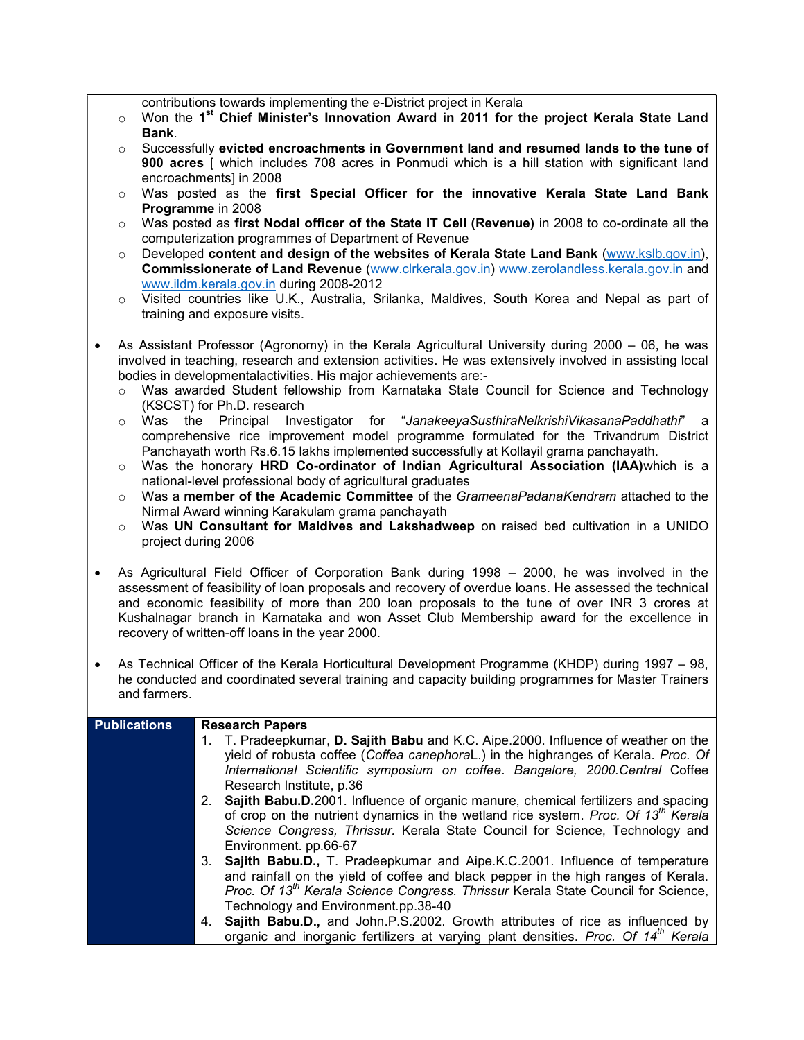contributions towards implementing the e-District project in Kerala

- o Won the 1<sup>st</sup> Chief Minister's Innovation Award in 2011 for the project Kerala State Land Bank.
- $\circ$  Successfully evicted encroachments in Government land and resumed lands to the tune of 900 acres [ which includes 708 acres in Ponmudi which is a hill station with significant land encroachments] in 2008
- $\circ$  Was posted as the first Special Officer for the innovative Kerala State Land Bank Programme in 2008
- o Was posted as first Nodal officer of the State IT Cell (Revenue) in 2008 to co-ordinate all the computerization programmes of Department of Revenue
- $\circ$  Developed content and design of the websites of Kerala State Land Bank (www.kslb.gov.in), Commissionerate of Land Revenue (www.clrkerala.gov.in) www.zerolandless.kerala.gov.in and www.ildm.kerala.gov.in during 2008-2012
- o Visited countries like U.K., Australia, Srilanka, Maldives, South Korea and Nepal as part of training and exposure visits.
- As Assistant Professor (Agronomy) in the Kerala Agricultural University during 2000 06, he was involved in teaching, research and extension activities. He was extensively involved in assisting local bodies in developmentalactivities. His major achievements are:
	- o Was awarded Student fellowship from Karnataka State Council for Science and Technology (KSCST) for Ph.D. research
	- o Was the Principal Investigator for "JanakeeyaSusthiraNelkrishiVikasanaPaddhathi" a comprehensive rice improvement model programme formulated for the Trivandrum District Panchayath worth Rs.6.15 lakhs implemented successfully at Kollayil grama panchayath.
	- $\circ$  Was the honorary HRD Co-ordinator of Indian Agricultural Association (IAA)which is a national-level professional body of agricultural graduates
	- $\circ$  Was a member of the Academic Committee of the GrameenaPadanaKendram attached to the Nirmal Award winning Karakulam grama panchayath
	- $\circ$  Was UN Consultant for Maldives and Lakshadweep on raised bed cultivation in a UNIDO project during 2006
- As Agricultural Field Officer of Corporation Bank during 1998 2000, he was involved in the assessment of feasibility of loan proposals and recovery of overdue loans. He assessed the technical and economic feasibility of more than 200 loan proposals to the tune of over INR 3 crores at Kushalnagar branch in Karnataka and won Asset Club Membership award for the excellence in recovery of written-off loans in the year 2000.
- As Technical Officer of the Kerala Horticultural Development Programme (KHDP) during 1997 98, he conducted and coordinated several training and capacity building programmes for Master Trainers and farmers.

| <b>Publications</b> | <b>Research Papers</b>                                                                                  |
|---------------------|---------------------------------------------------------------------------------------------------------|
|                     | 1. T. Pradeepkumar, D. Sajith Babu and K.C. Aipe. 2000. Influence of weather on the                     |
|                     | yield of robusta coffee (Coffea canephoraL.) in the highranges of Kerala. Proc. Of                      |
|                     | International Scientific symposium on coffee. Bangalore, 2000.Central Coffee                            |
|                     | Research Institute, p.36                                                                                |
|                     | 2. Sajith Babu.D.2001. Influence of organic manure, chemical fertilizers and spacing                    |
|                     | of crop on the nutrient dynamics in the wetland rice system. Proc. Of 13 $^{\prime\prime\prime}$ Kerala |
|                     | Science Congress, Thrissur. Kerala State Council for Science, Technology and                            |
|                     | Environment. pp.66-67                                                                                   |
|                     | 3. Sajith Babu.D., T. Pradeepkumar and Aipe.K.C.2001. Influence of temperature                          |
|                     | and rainfall on the yield of coffee and black pepper in the high ranges of Kerala.                      |
|                     | Proc. Of 13 <sup>th</sup> Kerala Science Congress. Thrissur Kerala State Council for Science,           |
|                     | Technology and Environment.pp.38-40                                                                     |
|                     | 4. Sajith Babu.D., and John.P.S.2002. Growth attributes of rice as influenced by                        |
|                     | organic and inorganic fertilizers at varying plant densities. Proc. Of 14 <sup>th</sup> Kerala          |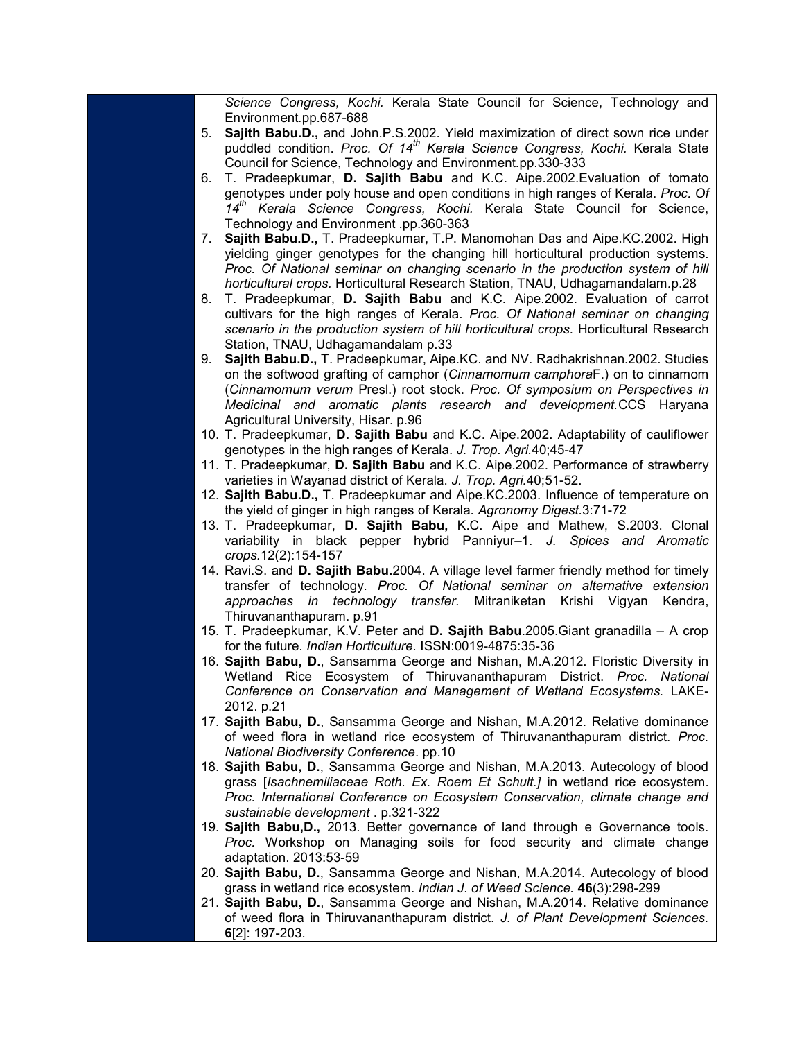Science Congress, Kochi. Kerala State Council for Science, Technology and Environment.pp.687-688

- 5. Sajith Babu.D., and John.P.S.2002. Yield maximization of direct sown rice under puddled condition. Proc. Of 14<sup>th</sup> Kerala Science Congress, Kochi. Kerala State Council for Science, Technology and Environment.pp.330-333
- 6. T. Pradeepkumar, D. Sajith Babu and K.C. Aipe.2002.Evaluation of tomato genotypes under poly house and open conditions in high ranges of Kerala. Proc. Of 14<sup>th</sup> Kerala Science Congress, Kochi. Kerala State Council for Science, Technology and Environment .pp.360-363
- 7. Sajith Babu.D., T. Pradeepkumar, T.P. Manomohan Das and Aipe.KC.2002. High yielding ginger genotypes for the changing hill horticultural production systems. Proc. Of National seminar on changing scenario in the production system of hill horticultural crops. Horticultural Research Station, TNAU, Udhagamandalam.p.28
- 8. T. Pradeepkumar, D. Sajith Babu and K.C. Aipe.2002. Evaluation of carrot cultivars for the high ranges of Kerala. Proc. Of National seminar on changing scenario in the production system of hill horticultural crops. Horticultural Research Station, TNAU, Udhagamandalam p.33
- 9. Sajith Babu.D., T. Pradeepkumar, Aipe.KC. and NV. Radhakrishnan.2002. Studies on the softwood grafting of camphor (Cinnamomum camphoraF.) on to cinnamom (Cinnamomum verum Presl.) root stock. Proc. Of symposium on Perspectives in Medicinal and aromatic plants research and development.CCS Haryana Agricultural University, Hisar. p.96
- 10. T. Pradeepkumar, D. Sajith Babu and K.C. Aipe.2002. Adaptability of cauliflower genotypes in the high ranges of Kerala. J. Trop. Agri.40;45-47
- 11. T. Pradeepkumar, D. Sajith Babu and K.C. Aipe.2002. Performance of strawberry varieties in Wayanad district of Kerala. J. Trop. Agri.40;51-52.
- 12. Sajith Babu.D., T. Pradeepkumar and Aipe.KC.2003. Influence of temperature on the yield of ginger in high ranges of Kerala. Agronomy Digest.3:71-72
- 13. T. Pradeepkumar, D. Sajith Babu, K.C. Aipe and Mathew, S.2003. Clonal variability in black pepper hybrid Panniyur-1. J. Spices and Aromatic crops.12(2):154-157
- 14. Ravi.S. and D. Sajith Babu.2004. A village level farmer friendly method for timely transfer of technology. Proc. Of National seminar on alternative extension approaches in technology transfer. Mitraniketan Krishi Vigyan Kendra, Thiruvananthapuram. p.91
- 15. T. Pradeepkumar, K.V. Peter and D. Sajith Babu.2005.Giant granadilla A crop for the future. Indian Horticulture. ISSN:0019-4875:35-36
- 16. Sajith Babu, D., Sansamma George and Nishan, M.A.2012. Floristic Diversity in Wetland Rice Ecosystem of Thiruvananthapuram District. Proc. National Conference on Conservation and Management of Wetland Ecosystems. LAKE-2012. p.21
- 17. Sajith Babu, D., Sansamma George and Nishan, M.A.2012. Relative dominance of weed flora in wetland rice ecosystem of Thiruvananthapuram district. Proc. National Biodiversity Conference. pp.10
- 18. Sajith Babu, D., Sansamma George and Nishan, M.A.2013. Autecology of blood grass [Isachnemiliaceae Roth. Ex. Roem Et Schult.] in wetland rice ecosystem. Proc. International Conference on Ecosystem Conservation, climate change and sustainable development . p.321-322
- 19. Sajith Babu,D., 2013. Better governance of land through e Governance tools. Proc. Workshop on Managing soils for food security and climate change adaptation. 2013:53-59
- 20. Sajith Babu, D., Sansamma George and Nishan, M.A.2014. Autecology of blood grass in wetland rice ecosystem. Indian J. of Weed Science. 46(3):298-299
- 21. Sajith Babu, D., Sansamma George and Nishan, M.A.2014. Relative dominance of weed flora in Thiruvananthapuram district. J. of Plant Development Sciences. 6[2]: 197-203.